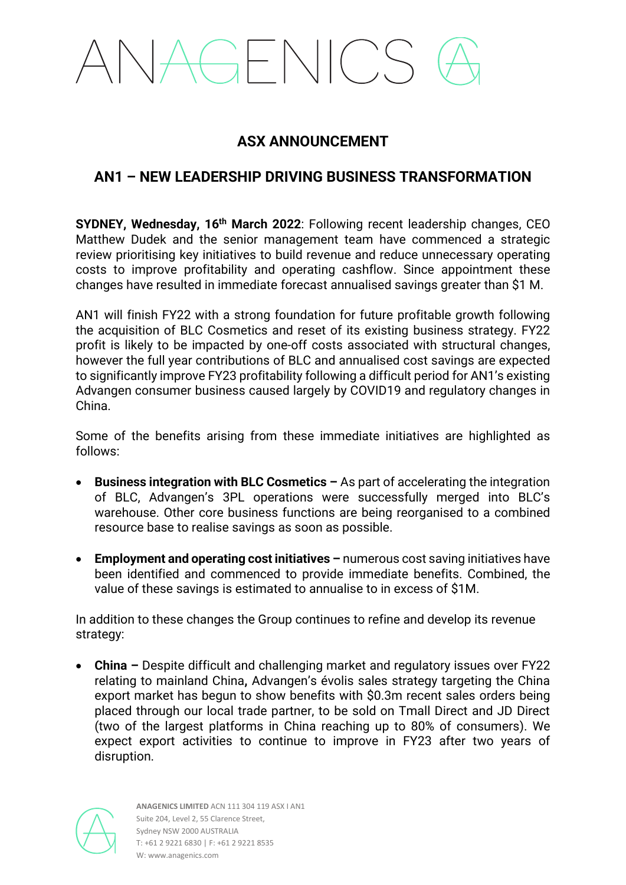# AGENICS

### **ASX ANNOUNCEMENT**

### **AN1 – NEW LEADERSHIP DRIVING BUSINESS TRANSFORMATION**

**SYDNEY, Wednesday, 16th March 2022**: Following recent leadership changes, CEO Matthew Dudek and the senior management team have commenced a strategic review prioritising key initiatives to build revenue and reduce unnecessary operating costs to improve profitability and operating cashflow. Since appointment these changes have resulted in immediate forecast annualised savings greater than \$1 M.

AN1 will finish FY22 with a strong foundation for future profitable growth following the acquisition of BLC Cosmetics and reset of its existing business strategy. FY22 profit is likely to be impacted by one-off costs associated with structural changes, however the full year contributions of BLC and annualised cost savings are expected to significantly improve FY23 profitability following a difficult period for AN1's existing Advangen consumer business caused largely by COVID19 and regulatory changes in China.

Some of the benefits arising from these immediate initiatives are highlighted as follows:

- **Business integration with BLC Cosmetics –** As part of accelerating the integration of BLC, Advangen's 3PL operations were successfully merged into BLC's warehouse. Other core business functions are being reorganised to a combined resource base to realise savings as soon as possible.
- **Employment and operating cost initiatives –** numerous cost saving initiatives have been identified and commenced to provide immediate benefits. Combined, the value of these savings is estimated to annualise to in excess of \$1M.

In addition to these changes the Group continues to refine and develop its revenue strategy:

• **China –** Despite difficult and challenging market and regulatory issues over FY22 relating to mainland China**,** Advangen's évolis sales strategy targeting the China export market has begun to show benefits with \$0.3m recent sales orders being placed through our local trade partner, to be sold on Tmall Direct and JD Direct (two of the largest platforms in China reaching up to 80% of consumers). We expect export activities to continue to improve in FY23 after two years of disruption.

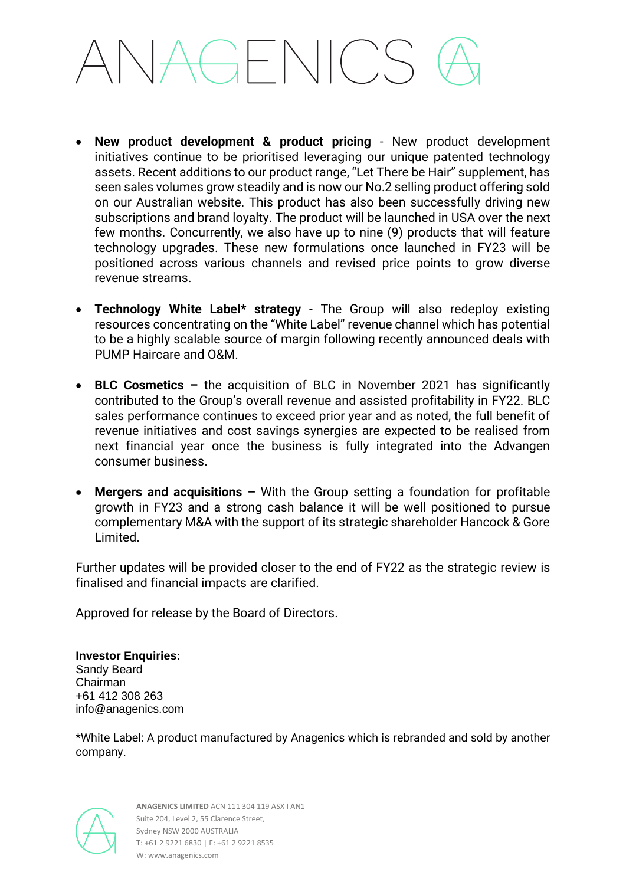## AGENICS

- **New product development & product pricing** New product development initiatives continue to be prioritised leveraging our unique patented technology assets. Recent additions to our product range, "Let There be Hair" supplement, has seen sales volumes grow steadily and is now our No.2 selling product offering sold on our Australian website. This product has also been successfully driving new subscriptions and brand loyalty. The product will be launched in USA over the next few months. Concurrently, we also have up to nine (9) products that will feature technology upgrades. These new formulations once launched in FY23 will be positioned across various channels and revised price points to grow diverse revenue streams.
- **Technology White Label\* strategy** The Group will also redeploy existing resources concentrating on the "White Label" revenue channel which has potential to be a highly scalable source of margin following recently announced deals with PUMP Haircare and O&M.
- **BLC Cosmetics –** the acquisition of BLC in November 2021 has significantly contributed to the Group's overall revenue and assisted profitability in FY22. BLC sales performance continues to exceed prior year and as noted, the full benefit of revenue initiatives and cost savings synergies are expected to be realised from next financial year once the business is fully integrated into the Advangen consumer business.
- **Mergers and acquisitions –** With the Group setting a foundation for profitable growth in FY23 and a strong cash balance it will be well positioned to pursue complementary M&A with the support of its strategic shareholder Hancock & Gore Limited.

Further updates will be provided closer to the end of FY22 as the strategic review is finalised and financial impacts are clarified.

Approved for release by the Board of Directors.

**Investor Enquiries:** Sandy Beard Chairman +61 412 308 263 info@anagenics.com

\*White Label: A product manufactured by Anagenics which is rebranded and sold by another company.